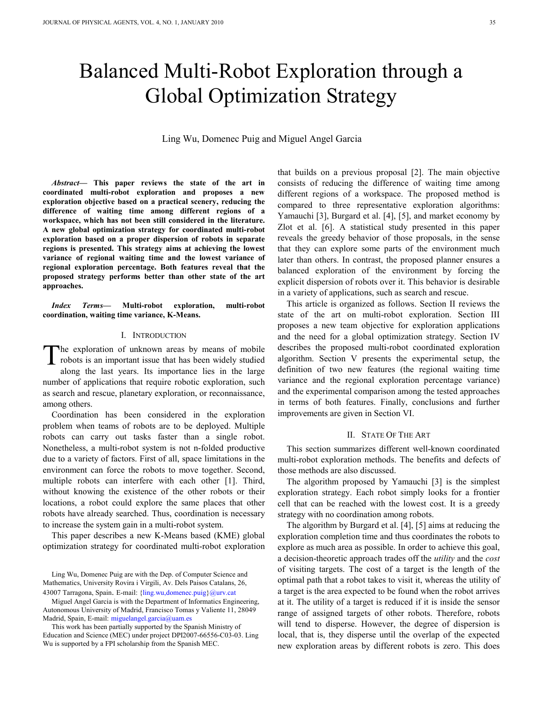# Balanced Multi-Robot Exploration through a Global Optimization Strategy

Ling Wu, Domenec Puig and Miguel Angel Garcia

*Abstract***— This paper reviews the state of the art in coordinated multi-robot exploration and proposes a new exploration objective based on a practical scenery, reducing the difference of waiting time among different regions of a workspace, which has not been still considered in the literature. A new global optimization strategy for coordinated multi-robot exploration based on a proper dispersion of robots in separate regions is presented. This strategy aims at achieving the lowest variance of regional waiting time and the lowest variance of regional exploration percentage. Both features reveal that the proposed strategy performs better than other state of the art approaches.** 

*Index Terms***— Multi-robot exploration, multi-robot coordination, waiting time variance, K-Means.** 

#### I. INTRODUCTION

he exploration of unknown areas by means of mobile The exploration of unknown areas by means of mobile<br>robots is an important issue that has been widely studied<br>along the last years. Its importance lies in the large along the last years. Its importance lies in the large number of applications that require robotic exploration, such as search and rescue, planetary exploration, or reconnaissance, among others.

Coordination has been considered in the exploration problem when teams of robots are to be deployed. Multiple robots can carry out tasks faster than a single robot. Nonetheless, a multi-robot system is not n-folded productive due to a variety of factors. First of all, space limitations in the environment can force the robots to move together. Second, multiple robots can interfere with each other [1]. Third, without knowing the existence of the other robots or their locations, a robot could explore the same places that other robots have already searched. Thus, coordination is necessary to increase the system gain in a multi-robot system.

This paper describes a new K-Means based (KME) global optimization strategy for coordinated multi-robot exploration

Ling Wu, Domenec Puig are with the Dep. of Computer Science and Mathematics, University Rovira i Virgili, Av. Dels Paisos Catalans, 26, 43007 Tarragona, Spain. E-mail: {ling.wu,domenec.puig}@urv.cat

Miguel Angel Garcia is with the Department of Informatics Engineering, Autonomous University of Madrid, Francisco Tomas y Valiente 11, 28049 Madrid, Spain, E-mail: miguelangel.garcia@uam.es

This work has been partially supported by the Spanish Ministry of Education and Science (MEC) under project DPI2007-66556-C03-03. Ling Wu is supported by a FPI scholarship from the Spanish MEC.

that builds on a previous proposal [2]. The main objective consists of reducing the difference of waiting time among different regions of a workspace. The proposed method is compared to three representative exploration algorithms: Yamauchi [3], Burgard et al. [4], [5], and market economy by Zlot et al. [6]. A statistical study presented in this paper reveals the greedy behavior of those proposals, in the sense that they can explore some parts of the environment much later than others. In contrast, the proposed planner ensures a balanced exploration of the environment by forcing the explicit dispersion of robots over it. This behavior is desirable in a variety of applications, such as search and rescue.

This article is organized as follows. Section II reviews the state of the art on multi-robot exploration. Section III proposes a new team objective for exploration applications and the need for a global optimization strategy. Section IV describes the proposed multi-robot coordinated exploration algorithm. Section V presents the experimental setup, the definition of two new features (the regional waiting time variance and the regional exploration percentage variance) and the experimental comparison among the tested approaches in terms of both features. Finally, conclusions and further improvements are given in Section VI.

## II. STATE OF THE ART

This section summarizes different well-known coordinated multi-robot exploration methods. The benefits and defects of those methods are also discussed.

The algorithm proposed by Yamauchi [3] is the simplest exploration strategy. Each robot simply looks for a frontier cell that can be reached with the lowest cost. It is a greedy strategy with no coordination among robots.

The algorithm by Burgard et al. [4], [5] aims at reducing the exploration completion time and thus coordinates the robots to explore as much area as possible. In order to achieve this goal, a decision-theoretic approach trades off the *utility* and the *cost* of visiting targets. The cost of a target is the length of the optimal path that a robot takes to visit it, whereas the utility of a target is the area expected to be found when the robot arrives at it. The utility of a target is reduced if it is inside the sensor range of assigned targets of other robots. Therefore, robots will tend to disperse. However, the degree of dispersion is local, that is, they disperse until the overlap of the expected new exploration areas by different robots is zero. This does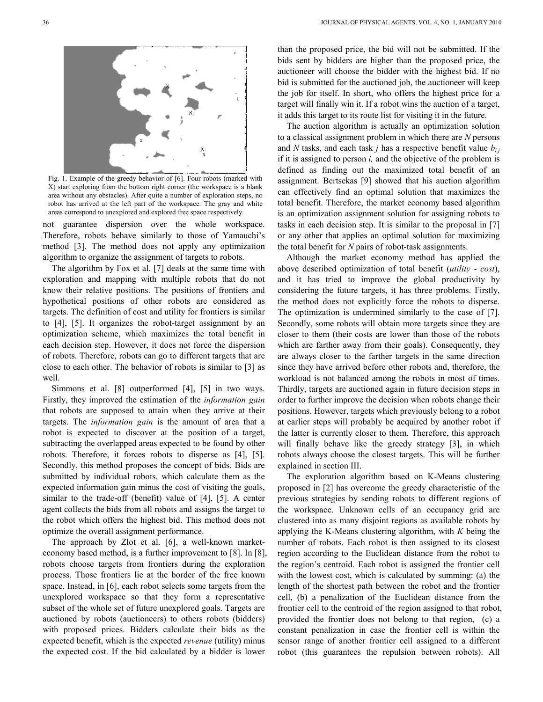

Fig. 1. Example of the greedy behavior of [6]. Four robots (marked with X) start exploring from the bottom right corner (the workspace is a blank area without any obstacles). After quite a number of exploration steps, no robot has arrived at the left part of the workspace. The gray and white areas correspond to unexplored and explored free space respectively.

not guarantee dispersion over the whole workspace. Therefore, robots behave similarly to those of Yamauchi's method [3]. The method does not apply any optimization algorithm to organize the assignment of targets to robots.

The algorithm by Fox et al. [7] deals at the same time with exploration and mapping with multiple robots that do not know their relative positions. The positions of frontiers and hypothetical positions of other robots are considered as targets. The definition of cost and utility for frontiers is similar to [4], [5]. It organizes the robot-target assignment by an optimization scheme, which maximizes the total benefit in each decision step. However, it does not force the dispersion of robots. Therefore, robots can go to different targets that are close to each other. The behavior of robots is similar to [3] as well.

Simmons et al. [8] outperformed [4], [5] in two ways. Firstly, they improved the estimation of the *information gain* that robots are supposed to attain when they arrive at their targets. The *information gain* is the amount of area that a robot is expected to discover at the position of a target, subtracting the overlapped areas expected to be found by other robots. Therefore, it forces robots to disperse as [4], [5]. Secondly, this method proposes the concept of bids. Bids are submitted by individual robots, which calculate them as the expected information gain minus the cost of visiting the goals, similar to the trade-off (benefit) value of [4], [5]. A center agent collects the bids from all robots and assigns the target to the robot which offers the highest bid. This method does not optimize the overall assignment performance.

The approach by Zlot et al. [6], a well-known marketeconomy based method, is a further improvement to [8]. In [8], robots choose targets from frontiers during the exploration process. Those frontiers lie at the border of the free known space. Instead, in [6], each robot selects some targets from the unexplored workspace so that they form a representative subset of the whole set of future unexplored goals. Targets are auctioned by robots (auctioneers) to others robots (bidders) with proposed prices. Bidders calculate their bids as the expected benefit, which is the expected *revenue* (utility) minus the expected cost. If the bid calculated by a bidder is lower

than the proposed price, the bid will not be submitted. If the bids sent by bidders are higher than the proposed price, the auctioneer will choose the bidder with the highest bid. If no bid is submitted for the auctioned job, the auctioneer will keep the job for itself. In short, who offers the highest price for a target will finally win it. If a robot wins the auction of a target, it adds this target to its route list for visiting it in the future.

The auction algorithm is actually an optimization solution to a classical assignment problem in which there are *N* persons and *N* tasks, and each task *j* has a respective benefit value *bi,j* if it is assigned to person *i,* and the objective of the problem is defined as finding out the maximized total benefit of an assignment. Bertsekas [9] showed that his auction algorithm can effectively find an optimal solution that maximizes the total benefit. Therefore, the market economy based algorithm is an optimization assignment solution for assigning robots to tasks in each decision step. It is similar to the proposal in [7] or any other that applies an optimal solution for maximizing the total benefit for *N* pairs of robot-task assignments.

Although the market economy method has applied the above described optimization of total benefit (*utility* - *cost*), and it has tried to improve the global productivity by considering the future targets, it has three problems. Firstly, the method does not explicitly force the robots to disperse. The optimization is undermined similarly to the case of [7]. Secondly, some robots will obtain more targets since they are closer to them (their costs are lower than those of the robots which are farther away from their goals). Consequently, they are always closer to the farther targets in the same direction since they have arrived before other robots and, therefore, the workload is not balanced among the robots in most of times. Thirdly, targets are auctioned again in future decision steps in order to further improve the decision when robots change their positions. However, targets which previously belong to a robot at earlier steps will probably be acquired by another robot if the latter is currently closer to them. Therefore, this approach will finally behave like the greedy strategy [3], in which robots always choose the closest targets. This will be further explained in section III.

The exploration algorithm based on K-Means clustering proposed in [2] has overcome the greedy characteristic of the previous strategies by sending robots to different regions of the workspace. Unknown cells of an occupancy grid are clustered into as many disjoint regions as available robots by applying the K-Means clustering algorithm, with *K* being the number of robots. Each robot is then assigned to its closest region according to the Euclidean distance from the robot to the region's centroid. Each robot is assigned the frontier cell with the lowest cost, which is calculated by summing: (a) the length of the shortest path between the robot and the frontier cell, (b) a penalization of the Euclidean distance from the frontier cell to the centroid of the region assigned to that robot, provided the frontier does not belong to that region, (c) a constant penalization in case the frontier cell is within the sensor range of another frontier cell assigned to a different robot (this guarantees the repulsion between robots). All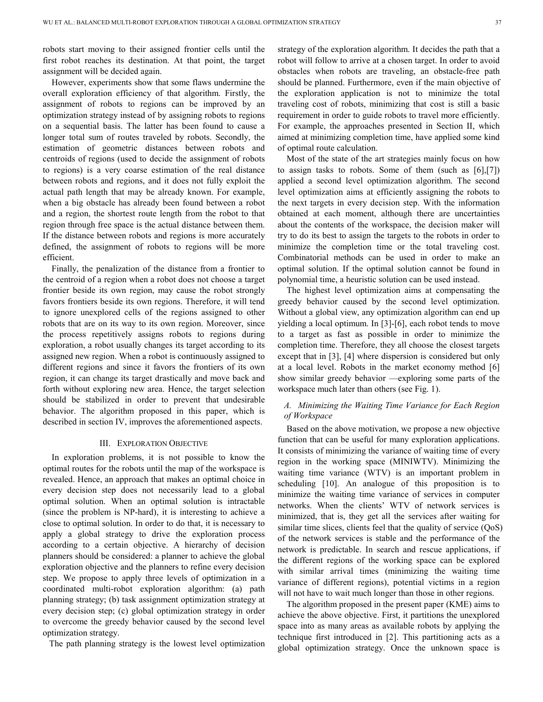robots start moving to their assigned frontier cells until the first robot reaches its destination. At that point, the target assignment will be decided again.

However, experiments show that some flaws undermine the overall exploration efficiency of that algorithm. Firstly, the assignment of robots to regions can be improved by an optimization strategy instead of by assigning robots to regions on a sequential basis. The latter has been found to cause a longer total sum of routes traveled by robots. Secondly, the estimation of geometric distances between robots and centroids of regions (used to decide the assignment of robots to regions) is a very coarse estimation of the real distance between robots and regions, and it does not fully exploit the actual path length that may be already known. For example, when a big obstacle has already been found between a robot and a region, the shortest route length from the robot to that region through free space is the actual distance between them. If the distance between robots and regions is more accurately defined, the assignment of robots to regions will be more efficient.

Finally, the penalization of the distance from a frontier to the centroid of a region when a robot does not choose a target frontier beside its own region, may cause the robot strongly favors frontiers beside its own regions. Therefore, it will tend to ignore unexplored cells of the regions assigned to other robots that are on its way to its own region. Moreover, since the process repetitively assigns robots to regions during exploration, a robot usually changes its target according to its assigned new region. When a robot is continuously assigned to different regions and since it favors the frontiers of its own region, it can change its target drastically and move back and forth without exploring new area. Hence, the target selection should be stabilized in order to prevent that undesirable behavior. The algorithm proposed in this paper, which is described in section IV, improves the aforementioned aspects.

#### III. EXPLORATION OBJECTIVE

In exploration problems, it is not possible to know the optimal routes for the robots until the map of the workspace is revealed. Hence, an approach that makes an optimal choice in every decision step does not necessarily lead to a global optimal solution. When an optimal solution is intractable (since the problem is NP-hard), it is interesting to achieve a close to optimal solution. In order to do that, it is necessary to apply a global strategy to drive the exploration process according to a certain objective. A hierarchy of decision planners should be considered: a planner to achieve the global exploration objective and the planners to refine every decision step. We propose to apply three levels of optimization in a coordinated multi-robot exploration algorithm: (a) path planning strategy; (b) task assignment optimization strategy at every decision step; (c) global optimization strategy in order to overcome the greedy behavior caused by the second level optimization strategy.

The path planning strategy is the lowest level optimization

strategy of the exploration algorithm. It decides the path that a robot will follow to arrive at a chosen target. In order to avoid obstacles when robots are traveling, an obstacle-free path should be planned. Furthermore, even if the main objective of the exploration application is not to minimize the total traveling cost of robots, minimizing that cost is still a basic requirement in order to guide robots to travel more efficiently. For example, the approaches presented in Section II, which aimed at minimizing completion time, have applied some kind of optimal route calculation.

Most of the state of the art strategies mainly focus on how to assign tasks to robots. Some of them (such as  $[6]$ , $[7]$ ) applied a second level optimization algorithm. The second level optimization aims at efficiently assigning the robots to the next targets in every decision step. With the information obtained at each moment, although there are uncertainties about the contents of the workspace, the decision maker will try to do its best to assign the targets to the robots in order to minimize the completion time or the total traveling cost. Combinatorial methods can be used in order to make an optimal solution. If the optimal solution cannot be found in polynomial time, a heuristic solution can be used instead.

The highest level optimization aims at compensating the greedy behavior caused by the second level optimization. Without a global view, any optimization algorithm can end up yielding a local optimum. In [3]-[6], each robot tends to move to a target as fast as possible in order to minimize the completion time. Therefore, they all choose the closest targets except that in [3], [4] where dispersion is considered but only at a local level. Robots in the market economy method [6] show similar greedy behavior —exploring some parts of the workspace much later than others (see Fig. 1).

## *A. Minimizing the Waiting Time Variance for Each Region of Workspace*

Based on the above motivation, we propose a new objective function that can be useful for many exploration applications. It consists of minimizing the variance of waiting time of every region in the working space (MINIWTV). Minimizing the waiting time variance (WTV) is an important problem in scheduling [10]. An analogue of this proposition is to minimize the waiting time variance of services in computer networks. When the clients' WTV of network services is minimized, that is, they get all the services after waiting for similar time slices, clients feel that the quality of service (QoS) of the network services is stable and the performance of the network is predictable. In search and rescue applications, if the different regions of the working space can be explored with similar arrival times (minimizing the waiting time variance of different regions), potential victims in a region will not have to wait much longer than those in other regions.

The algorithm proposed in the present paper (KME) aims to achieve the above objective. First, it partitions the unexplored space into as many areas as available robots by applying the technique first introduced in [2]. This partitioning acts as a global optimization strategy. Once the unknown space is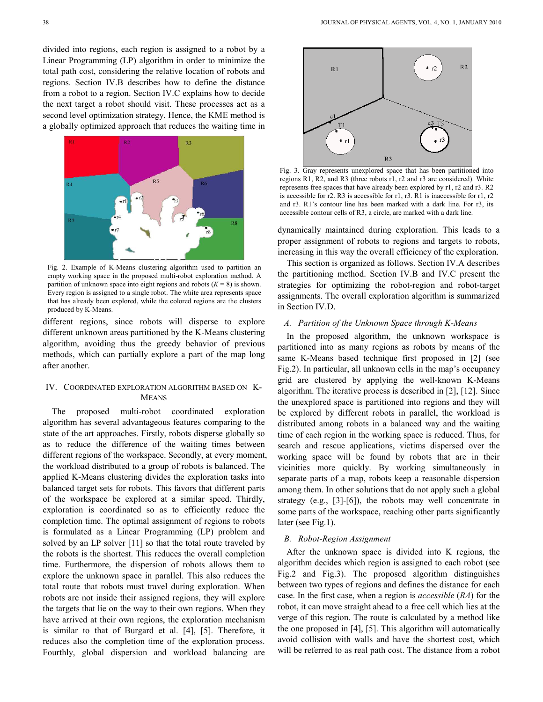divided into regions, each region is assigned to a robot by a Linear Programming (LP) algorithm in order to minimize the total path cost, considering the relative location of robots and regions. Section IV.B describes how to define the distance from a robot to a region. Section IV.C explains how to decide the next target a robot should visit. These processes act as a second level optimization strategy. Hence, the KME method is a globally optimized approach that reduces the waiting time in



Fig. 2. Example of K-Means clustering algorithm used to partition an empty working space in the proposed multi-robot exploration method. A partition of unknown space into eight regions and robots  $(K = 8)$  is shown. Every region is assigned to a single robot. The white area represents space that has already been explored, while the colored regions are the clusters produced by K-Means.

different regions, since robots will disperse to explore different unknown areas partitioned by the K-Means clustering algorithm, avoiding thus the greedy behavior of previous methods, which can partially explore a part of the map long after another.

#### IV. COORDINATED EXPLORATION ALGORITHM BASED ON K-MEANS

The proposed multi-robot coordinated exploration algorithm has several advantageous features comparing to the state of the art approaches. Firstly, robots disperse globally so as to reduce the difference of the waiting times between different regions of the workspace. Secondly, at every moment, the workload distributed to a group of robots is balanced. The applied K-Means clustering divides the exploration tasks into balanced target sets for robots. This favors that different parts of the workspace be explored at a similar speed. Thirdly, exploration is coordinated so as to efficiently reduce the completion time. The optimal assignment of regions to robots is formulated as a Linear Programming (LP) problem and solved by an LP solver [11] so that the total route traveled by the robots is the shortest. This reduces the overall completion time. Furthermore, the dispersion of robots allows them to explore the unknown space in parallel. This also reduces the total route that robots must travel during exploration. When robots are not inside their assigned regions, they will explore the targets that lie on the way to their own regions. When they have arrived at their own regions, the exploration mechanism is similar to that of Burgard et al. [4], [5]. Therefore, it reduces also the completion time of the exploration process. Fourthly, global dispersion and workload balancing are



Fig. 3. Gray represents unexplored space that has been partitioned into regions R1, R2, and R3 (three robots r1, r2 and r3 are considered). White represents free spaces that have already been explored by r1, r2 and r3. R2 is accessible for r2. R3 is accessible for r1, r3. R1 is inaccessible for r1, r2 and r3. R1's contour line has been marked with a dark line. For r3, its accessible contour cells of R3, a circle, are marked with a dark line.

dynamically maintained during exploration. This leads to a proper assignment of robots to regions and targets to robots, increasing in this way the overall efficiency of the exploration.

This section is organized as follows. Section IV.A describes the partitioning method. Section IV.B and IV.C present the strategies for optimizing the robot-region and robot-target assignments. The overall exploration algorithm is summarized in Section IV.D.

## *A. Partition of the Unknown Space through K-Means*

In the proposed algorithm, the unknown workspace is partitioned into as many regions as robots by means of the same K-Means based technique first proposed in [2] (see Fig.2). In particular, all unknown cells in the map's occupancy grid are clustered by applying the well-known K-Means algorithm. The iterative process is described in [2], [12]. Since the unexplored space is partitioned into regions and they will be explored by different robots in parallel, the workload is distributed among robots in a balanced way and the waiting time of each region in the working space is reduced. Thus, for search and rescue applications, victims dispersed over the working space will be found by robots that are in their vicinities more quickly. By working simultaneously in separate parts of a map, robots keep a reasonable dispersion among them. In other solutions that do not apply such a global strategy (e.g., [3]-[6]), the robots may well concentrate in some parts of the workspace, reaching other parts significantly later (see Fig.1).

#### *B. Robot-Region Assignment*

After the unknown space is divided into K regions, the algorithm decides which region is assigned to each robot (see Fig.2 and Fig.3). The proposed algorithm distinguishes between two types of regions and defines the distance for each case. In the first case, when a region is *accessible* (*RA*) for the robot, it can move straight ahead to a free cell which lies at the verge of this region. The route is calculated by a method like the one proposed in [4], [5]. This algorithm will automatically avoid collision with walls and have the shortest cost, which will be referred to as real path cost. The distance from a robot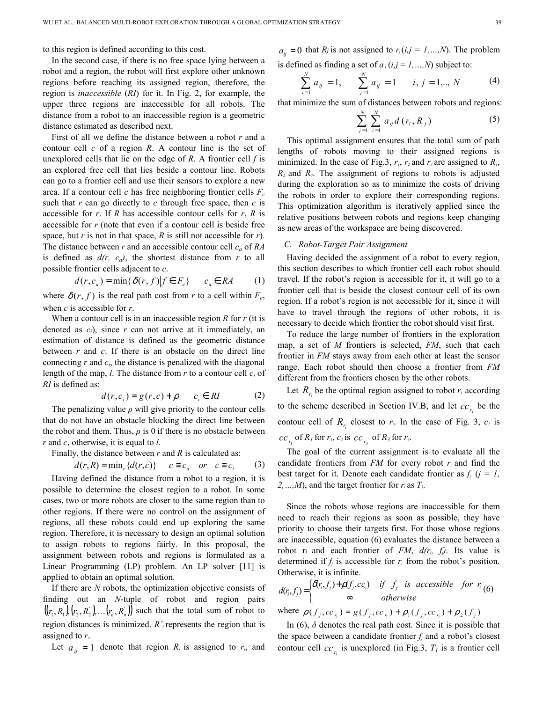to this region is defined according to this cost.

In the second case, if there is no free space lying between a robot and a region, the robot will first explore other unknown regions before reaching its assigned region, therefore, the region is *inaccessible* (*RI*) for it. In Fig. 2, for example, the upper three regions are inaccessible for all robots. The distance from a robot to an inaccessible region is a geometric distance estimated as described next.

First of all we define the distance between a robot *r* and a contour cell *c* of a region *R*. A contour line is the set of unexplored cells that lie on the edge of  $R$ . A frontier cell  $f$  is an explored free cell that lies beside a contour line. Robots can go to a frontier cell and use their sensors to explore a new area. If a contour cell *c* has free neighboring frontier cells *F<sup>c</sup>* such that *r* can go directly to *c* through free space, then *c* is accessible for *r*. If *R* has accessible contour cells for *r*, *R* is accessible for *r* (note that even if a contour cell is beside free space, but *r* is not in that space, *R* is still not accessible for *r*). The distance between *r* and an accessible contour cell *ca* of *RA* is defined as  $d(r, c<sub>a</sub>)$ , the shortest distance from *r* to all possible frontier cells adjacent to *c*.

$$
d(r, c_a) = \min\{\delta(r, f)|f \in F_c\} \qquad c_a \in RA \tag{1}
$$

where  $\delta(r, f)$  is the real path cost from *r* to a cell within  $F_c$ , when *c* is accessible for *r*.

When a contour cell is in an inaccessible region *R* for *r* (it is denoted as *ci*), since *r* can not arrive at it immediately, an estimation of distance is defined as the geometric distance between *r* and *c*. If there is an obstacle on the direct line connecting  $r$  and  $c_i$ , the distance is penalized with the diagonal length of the map, *l*. The distance from *r* to a contour cell *c<sup>i</sup>* of *RI* is defined as:

$$
d(r, c_i) = g(r, c) + \rho \qquad c_i \in RI \tag{2}
$$

The penalizing value  $\rho$  will give priority to the contour cells that do not have an obstacle blocking the direct line between the robot and them. Thus,  $\rho$  is 0 if there is no obstacle between *r* and *c*, otherwise, it is equal to *l*.

Finally, the distance between *r* and *R* is calculated as:

$$
d(r,R) = \min_{c} \{d(r,c)\} \quad c \equiv c_a \quad or \quad c \equiv c_i \tag{3}
$$

Having defined the distance from a robot to a region, it is possible to determine the closest region to a robot. In some cases, two or more robots are closer to the same region than to other regions. If there were no control on the assignment of regions, all these robots could end up exploring the same region. Therefore, it is necessary to design an optimal solution to assign robots to regions fairly. In this proposal, the assignment between robots and regions is formulated as a Linear Programming (LP) problem. An LP solver [11] is applied to obtain an optimal solution.

If there are *N* robots, the optimization objective consists of finding out an *N*-tuple of robot and region pairs  $((r_1, R_1), (r_2, R_2), \ldots, (r_n, R_n))$  such that the total sum of robot to region distances is minimized. *R´<sup>i</sup>* represents the region that is assigned to *ri*.

Let  $a_{ij} = 1$  denote that region  $R_j$  is assigned to  $r_i$ , and

 $a_{ij} = 0$  that  $R_j$  is not assigned to  $r_i (i, j = 1, ..., N)$ . The problem is defined as finding a set of  $a_i$  ( $i, j = 1, ..., N$ ) subject to:

$$
\sum_{i=1}^{N} a_{ij} = 1, \qquad \sum_{j=1}^{N} a_{ij} = 1 \qquad i, j = 1,.., N \tag{4}
$$

that minimize the sum of distances between robots and regions:

$$
\sum_{j=1}^{N} \sum_{i=1}^{N} a_{ij} d(r_i, R_j)
$$
 (5)

This optimal assignment ensures that the total sum of path lengths of robots moving to their assigned regions is minimized. In the case of Fig.3,  $r_1$ ,  $r_2$  and  $r_3$  are assigned to  $R_1$ ,  $R_2$  and  $R_3$ . The assignment of regions to robots is adjusted during the exploration so as to minimize the costs of driving the robots in order to explore their corresponding regions. This optimization algorithm is iteratively applied since the relative positions between robots and regions keep changing as new areas of the workspace are being discovered.

#### *C. Robot-Target Pair Assignment*

Having decided the assignment of a robot to every region, this section describes to which frontier cell each robot should travel. If the robot's region is accessible for it, it will go to a frontier cell that is beside the closest contour cell of its own region. If a robot's region is not accessible for it, since it will have to travel through the regions of other robots, it is necessary to decide which frontier the robot should visit first.

To reduce the large number of frontiers in the exploration map, a set of *M* frontiers is selected, *FM*, such that each frontier in *FM* stays away from each other at least the sensor range. Each robot should then choose a frontier from *FM* different from the frontiers chosen by the other robots.

Let  $R_{r_i}$  be the optimal region assigned to robot  $r_i$  according to the scheme described in Section IV.B, and let  $cc_{r_i}$  be the contour cell of  $R_{r_i}$  closest to  $r_i$ . In the case of Fig. 3,  $c_i$  is  $\int_{r_1}^r$  of  $R_I$  for  $r_I$ ,  $c_3$  is  $\int_{r_3}^r$  of  $R_3$  for  $r_3$ .

The goal of the current assignment is to evaluate all the candidate frontiers from  $FM$  for every robot  $r_i$  and find the best target for it. Denote each candidate frontier as  $f_i$  ( $j = 1$ , *2, ..., M*), and the target frontier for  $r_i$  as  $T_i$ .

Since the robots whose regions are inaccessible for them need to reach their regions as soon as possible, they have priority to choose their targets first. For those whose regions are inaccessible, equation (6) evaluates the distance between a robot ri and each frontier of *FM*,  $d(r_i, f_j)$ . Its value is determined if  $f_i$  is accessible for  $r_i$  from the robot's position. Otherwise, it is infinite.

$$
d(r_i, f_j) = \begin{cases} \delta(r_i, f_j) + \rho(f_j, c c_i) & \text{if } f_j \text{ is accessible} \text{ for } r_i \text{ (6)} \\ \infty & \text{otherwise} \end{cases}
$$

where  $\rho(f_j, cc_{r_i}) = g(f_j, cc_{r_i}) + \rho_1(f_j, cc_{r_i}) + \rho_2(f_j)$ 

In  $(6)$ ,  $\delta$  denotes the real path cost. Since it is possible that the space between a candidate frontier  $f_i$  and a robot's closest contour cell  $cc_{r_i}$  is unexplored (in Fig.3,  $T_I$  is a frontier cell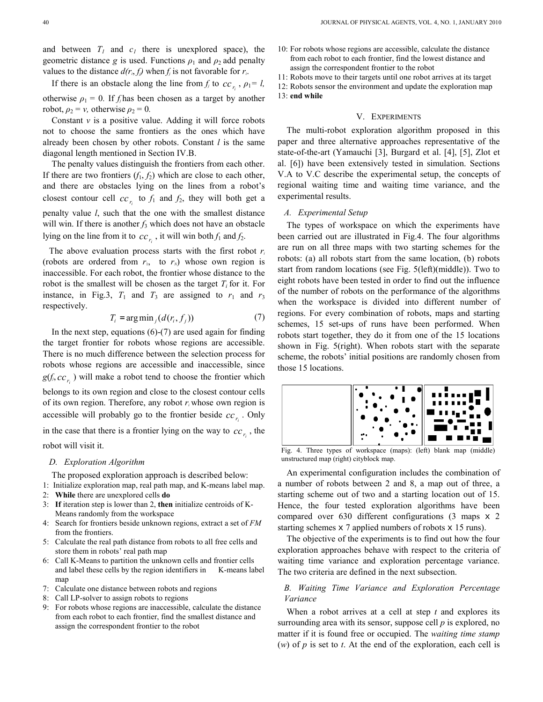and between  $T_I$  and  $c_I$  there is unexplored space), the geometric distance *g* is used. Functions  $\rho_1$  and  $\rho_2$  add penalty values to the distance  $d(r_i, f_j)$  when  $f_j$  is not favorable for  $r_i$ .

If there is an obstacle along the line from  $f_j$  to  $cc_{r_i}$ ,  $\rho_1 = l$ , otherwise  $\rho_1 = 0$ . If *f*<sub>i</sub> has been chosen as a target by another robot,  $\rho_2 = v$ , otherwise  $\rho_2 = 0$ .

Constant  $\nu$  is a positive value. Adding it will force robots not to choose the same frontiers as the ones which have already been chosen by other robots. Constant *l* is the same diagonal length mentioned in Section IV.B.

The penalty values distinguish the frontiers from each other. If there are two frontiers  $(f_1, f_2)$  which are close to each other, and there are obstacles lying on the lines from a robot's closest contour cell  $cc_{r_i}$  to  $f_1$  and  $f_2$ , they will both get a penalty value *l*, such that the one with the smallest distance will win. If there is another  $f_3$  which does not have an obstacle lying on the line from it to  $cc_{r_i}$ , it will win both  $f_1$  and  $f_2$ .

The above evaluation process starts with the first robot *r<sup>i</sup>* (robots are ordered from  $r_1$ , to  $r_N$ ) whose own region is inaccessible. For each robot, the frontier whose distance to the robot is the smallest will be chosen as the target  $T_i$  for it. For instance, in Fig.3,  $T_1$  and  $T_3$  are assigned to  $r_1$  and  $r_3$ respectively.

$$
T_i = \arg\min_j (d(r_i, f_j))
$$
\n(7)

In the next step, equations  $(6)-(7)$  are used again for finding the target frontier for robots whose regions are accessible. There is no much difference between the selection process for robots whose regions are accessible and inaccessible, since  $g(f_i, cc_{r_i})$  will make a robot tend to choose the frontier which belongs to its own region and close to the closest contour cells of its own region. Therefore, any robot *r<sup>i</sup>* whose own region is accessible will probably go to the frontier beside  $cc_{r_i}$ . Only in the case that there is a frontier lying on the way to  $cc_{r_i}$ , the

robot will visit it.

## *D. Exploration Algorithm*

The proposed exploration approach is described below:

- 1: Initialize exploration map, real path map, and K-means label map.
- 2: **While** there are unexplored cells **do**
- 3: **If** iteration step is lower than 2, **then** initialize centroids of K-Means randomly from the workspace
- 4: Search for frontiers beside unknown regions, extract a set of *FM* from the frontiers.
- 5: Calculate the real path distance from robots to all free cells and store them in robots' real path map
- 6: Call K-Means to partition the unknown cells and frontier cells and label these cells by the region identifiers in K-means label map
- 7: Calculate one distance between robots and regions
- 8: Call LP-solver to assign robots to regions
- 9: For robots whose regions are inaccessible, calculate the distance from each robot to each frontier, find the smallest distance and assign the correspondent frontier to the robot

10: For robots whose regions are accessible, calculate the distance from each robot to each frontier, find the lowest distance and assign the correspondent frontier to the robot

11: Robots move to their targets until one robot arrives at its target

12: Robots sensor the environment and update the exploration map 13: **end while** 

## V. EXPERIMENTS

The multi-robot exploration algorithm proposed in this paper and three alternative approaches representative of the state-of-the-art (Yamauchi [3], Burgard et al. [4], [5], Zlot et al. [6]) have been extensively tested in simulation. Sections V.A to V.C describe the experimental setup, the concepts of regional waiting time and waiting time variance, and the experimental results.

#### *A. Experimental Setup*

The types of workspace on which the experiments have been carried out are illustrated in Fig.4. The four algorithms are run on all three maps with two starting schemes for the robots: (a) all robots start from the same location, (b) robots start from random locations (see Fig. 5(left)(middle)). Two to eight robots have been tested in order to find out the influence of the number of robots on the performance of the algorithms when the workspace is divided into different number of regions. For every combination of robots, maps and starting schemes, 15 set-ups of runs have been performed. When robots start together, they do it from one of the 15 locations shown in Fig. 5(right). When robots start with the separate scheme, the robots' initial positions are randomly chosen from those 15 locations.



Fig. 4. Three types of workspace (maps): (left) blank map (middle) unstructured map (right) cityblock map.

An experimental configuration includes the combination of a number of robots between 2 and 8, a map out of three, a starting scheme out of two and a starting location out of 15. Hence, the four tested exploration algorithms have been compared over 630 different configurations (3 maps x 2 starting schemes x 7 applied numbers of robots x 15 runs).

The objective of the experiments is to find out how the four exploration approaches behave with respect to the criteria of waiting time variance and exploration percentage variance. The two criteria are defined in the next subsection.

## *B. Waiting Time Variance and Exploration Percentage Variance*

When a robot arrives at a cell at step *t* and explores its surrounding area with its sensor, suppose cell *p* is explored, no matter if it is found free or occupied. The *waiting time stamp* (*w*) of *p* is set to *t*. At the end of the exploration, each cell is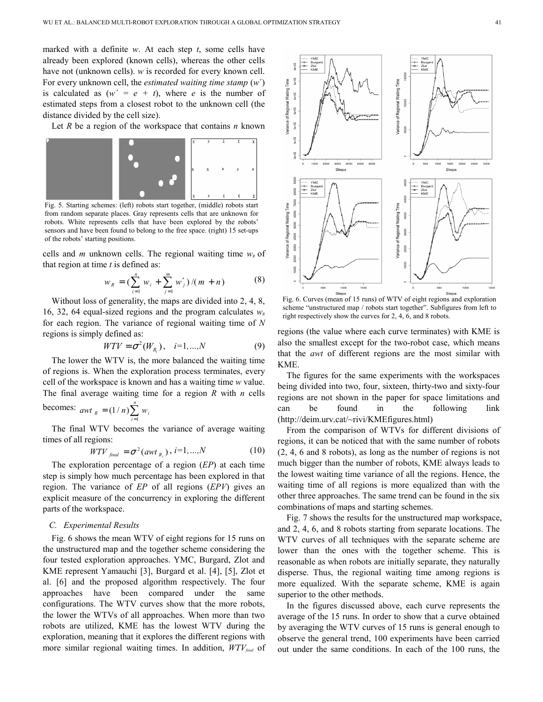marked with a definite *w*. At each step *t*, some cells have already been explored (known cells), whereas the other cells have not (unknown cells). *w* is recorded for every known cell. For every unknown cell, the *estimated waiting time stamp* (*w*´) is calculated as  $(w' = e + t)$ , where *e* is the number of estimated steps from a closest robot to the unknown cell (the distance divided by the cell size).

Let *R* be a region of the workspace that contains *n* known



Fig. 5. Starting schemes: (left) robots start together, (middle) robots start from random separate places. Gray represents cells that are unknown for robots. White represents cells that have been explored by the robots' sensors and have been found to belong to the free space. (right) 15 set-ups of the robots' starting positions.

cells and *m* unknown cells. The regional waiting time  $w_R$  of that region at time *t* is defined as:

$$
w_R = \left(\sum_{i=1}^n w_i + \sum_{j=1}^m w'_j\right) / (m+n) \tag{8}
$$

Without loss of generality, the maps are divided into 2, 4, 8, 16, 32, 64 equal-sized regions and the program calculates  $w<sub>R</sub>$ for each region. The variance of regional waiting time of *N* regions is simply defined as:

$$
WTV = \sigma^2(W_{R_i}), \quad i=1,...,N
$$
 (9)

The lower the WTV is, the more balanced the waiting time of regions is. When the exploration process terminates, every cell of the workspace is known and has a waiting time *w* value. The final average waiting time for a region *R* with *n* cells becomes:  $awt_R = (1/n)\sum^n w_i$ 

The final WTV becomes the variance of the variance 
$$
\frac{d}{dx}
$$
.

of average waiting times of all regions:

$$
WTV_{final} = \sigma^2(awt_{R_i}), i=1,...,N
$$
 (10)

The exploration percentage of a region (*EP*) at each time step is simply how much percentage has been explored in that region. The variance of *EP* of all regions (*EPV*) gives an explicit measure of the concurrency in exploring the different parts of the workspace.

#### *C. Experimental Results*

Fig. 6 shows the mean WTV of eight regions for 15 runs on the unstructured map and the together scheme considering the four tested exploration approaches. YMC, Burgard, Zlot and KME represent Yamauchi [3], Burgard et al. [4], [5], Zlot et al. [6] and the proposed algorithm respectively. The four approaches have been compared under the same configurations. The WTV curves show that the more robots, the lower the WTVs of all approaches. When more than two robots are utilized, KME has the lowest WTV during the exploration, meaning that it explores the different regions with more similar regional waiting times. In addition, *WTVfinal* of



Fig. 6. Curves (mean of 15 runs) of WTV of eight regions and exploration scheme "unstructured map / robots start together". Subfigures from left to right respectively show the curves for 2, 4, 6, and 8 robots.

regions (the value where each curve terminates) with KME is also the smallest except for the two-robot case, which means that the *awt* of different regions are the most similar with KME.

The figures for the same experiments with the workspaces being divided into two, four, sixteen, thirty-two and sixty-four regions are not shown in the paper for space limitations and can be found in the following link (http://deim.urv.cat/~rivi/KMEfigures.html)

From the comparison of WTVs for different divisions of regions, it can be noticed that with the same number of robots (2, 4, 6 and 8 robots), as long as the number of regions is not much bigger than the number of robots, KME always leads to the lowest waiting time variance of all the regions. Hence, the waiting time of all regions is more equalized than with the other three approaches. The same trend can be found in the six combinations of maps and starting schemes.

Fig. 7 shows the results for the unstructured map workspace, and 2, 4, 6, and 8 robots starting from separate locations. The WTV curves of all techniques with the separate scheme are lower than the ones with the together scheme. This is reasonable as when robots are initially separate, they naturally disperse. Thus, the regional waiting time among regions is more equalized. With the separate scheme, KME is again superior to the other methods.

In the figures discussed above, each curve represents the average of the 15 runs. In order to show that a curve obtained by averaging the WTV curves of 15 runs is general enough to observe the general trend, 100 experiments have been carried out under the same conditions. In each of the 100 runs, the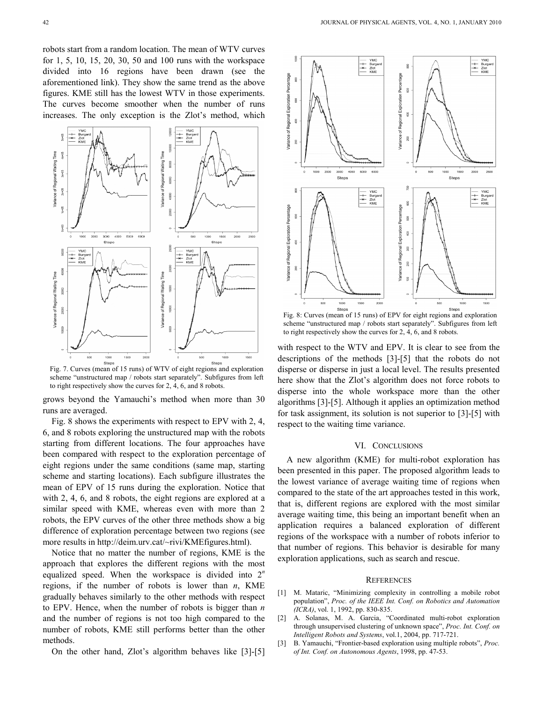robots start from a random location. The mean of WTV curves for 1, 5, 10, 15, 20, 30, 50 and 100 runs with the workspace divided into 16 regions have been drawn (see the aforementioned link). They show the same trend as the above figures. KME still has the lowest WTV in those experiments. The curves become smoother when the number of runs increases. The only exception is the Zlot's method, which



Fig. 7. Curves (mean of 15 runs) of WTV of eight regions and exploration scheme "unstructured map / robots start separately". Subfigures from left to right respectively show the curves for 2, 4, 6, and 8 robots.

grows beyond the Yamauchi's method when more than 30 runs are averaged.

Fig. 8 shows the experiments with respect to EPV with 2, 4, 6, and 8 robots exploring the unstructured map with the robots starting from different locations. The four approaches have been compared with respect to the exploration percentage of eight regions under the same conditions (same map, starting scheme and starting locations). Each subfigure illustrates the mean of EPV of 15 runs during the exploration. Notice that with 2, 4, 6, and 8 robots, the eight regions are explored at a similar speed with KME, whereas even with more than 2 robots, the EPV curves of the other three methods show a big difference of exploration percentage between two regions (see more results in http://deim.urv.cat/~rivi/KMEfigures.html).

Notice that no matter the number of regions, KME is the approach that explores the different regions with the most equalized speed. When the workspace is divided into 2*<sup>n</sup>* regions, if the number of robots is lower than *n*, KME gradually behaves similarly to the other methods with respect to EPV. Hence, when the number of robots is bigger than *n* and the number of regions is not too high compared to the number of robots, KME still performs better than the other methods.

On the other hand, Zlot's algorithm behaves like [3]-[5]



Fig. 8: Curves (mean of 15 runs) of EPV for eight regions and exploration scheme "unstructured map / robots start separately". Subfigures from left to right respectively show the curves for 2, 4, 6, and 8 robots.

with respect to the WTV and EPV. It is clear to see from the descriptions of the methods [3]-[5] that the robots do not disperse or disperse in just a local level. The results presented here show that the Zlot's algorithm does not force robots to disperse into the whole workspace more than the other algorithms [3]-[5]. Although it applies an optimization method for task assignment, its solution is not superior to [3]-[5] with respect to the waiting time variance.

#### VI. CONCLUSIONS

A new algorithm (KME) for multi-robot exploration has been presented in this paper. The proposed algorithm leads to the lowest variance of average waiting time of regions when compared to the state of the art approaches tested in this work, that is, different regions are explored with the most similar average waiting time, this being an important benefit when an application requires a balanced exploration of different regions of the workspace with a number of robots inferior to that number of regions. This behavior is desirable for many exploration applications, such as search and rescue.

#### **REFERENCES**

- [1] M. Mataric, "Minimizing complexity in controlling a mobile robot population", *Proc. of the IEEE Int. Conf. on Robotics and Automation (ICRA)*, vol. 1, 1992, pp. 830-835.
- [2] A. Solanas, M. A. Garcia, "Coordinated multi-robot exploration through unsupervised clustering of unknown space", *Proc. Int. Conf. on Intelligent Robots and Systems*, vol.1, 2004, pp. 717-721.
- [3] B. Yamauchi, "Frontier-based exploration using multiple robots", *Proc. of Int. Conf. on Autonomous Agents*, 1998, pp. 47-53.